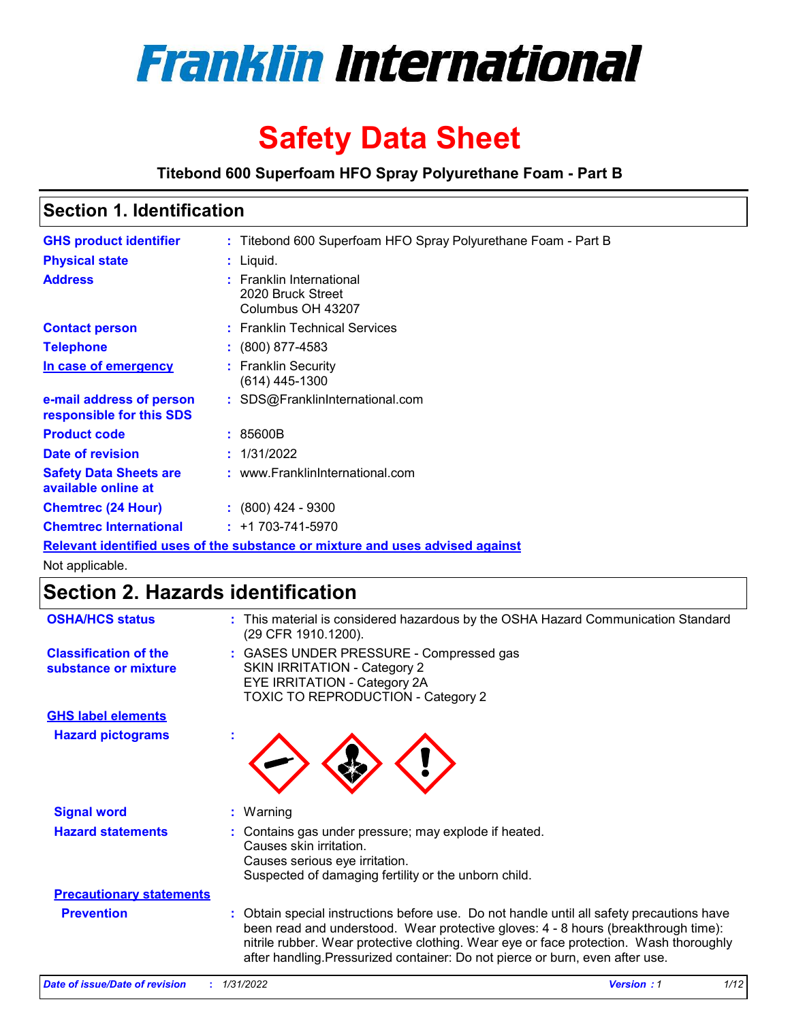

# **Safety Data Sheet**

**Titebond 600 Superfoam HFO Spray Polyurethane Foam - Part B**

# **Section 1. Identification**

| <b>GHS product identifier</b>                                                 |  | : Titebond 600 Superfoam HFO Spray Polyurethane Foam - Part B      |  |
|-------------------------------------------------------------------------------|--|--------------------------------------------------------------------|--|
| <b>Physical state</b>                                                         |  | $:$ Liquid.                                                        |  |
| <b>Address</b>                                                                |  | : Franklin International<br>2020 Bruck Street<br>Columbus OH 43207 |  |
| <b>Contact person</b>                                                         |  | : Franklin Technical Services                                      |  |
| <b>Telephone</b>                                                              |  | $: (800) 877 - 4583$                                               |  |
| In case of emergency                                                          |  | : Franklin Security<br>(614) 445-1300                              |  |
| e-mail address of person<br>responsible for this SDS                          |  | : SDS@FranklinInternational.com                                    |  |
| <b>Product code</b>                                                           |  | : 85600B                                                           |  |
| Date of revision                                                              |  | : 1/31/2022                                                        |  |
| <b>Safety Data Sheets are</b><br>available online at                          |  | : www.FranklinInternational.com                                    |  |
| <b>Chemtrec (24 Hour)</b>                                                     |  | $: (800)$ 424 - 9300                                               |  |
| <b>Chemtrec International</b>                                                 |  | $: +1703 - 741 - 5970$                                             |  |
| Relevant identified uses of the substance or mixture and uses advised against |  |                                                                    |  |

Not applicable.

# **Section 2. Hazards identification**

| <b>OSHA/HCS status</b>                               | : This material is considered hazardous by the OSHA Hazard Communication Standard<br>(29 CFR 1910.1200).                                                                                                                                                                                                                                                   |
|------------------------------------------------------|------------------------------------------------------------------------------------------------------------------------------------------------------------------------------------------------------------------------------------------------------------------------------------------------------------------------------------------------------------|
| <b>Classification of the</b><br>substance or mixture | : GASES UNDER PRESSURE - Compressed gas<br>SKIN IRRITATION - Category 2<br>EYE IRRITATION - Category 2A<br>TOXIC TO REPRODUCTION - Category 2                                                                                                                                                                                                              |
| <b>GHS label elements</b>                            |                                                                                                                                                                                                                                                                                                                                                            |
| <b>Hazard pictograms</b>                             |                                                                                                                                                                                                                                                                                                                                                            |
| <b>Signal word</b>                                   | : Warning                                                                                                                                                                                                                                                                                                                                                  |
| <b>Hazard statements</b>                             | : Contains gas under pressure; may explode if heated.<br>Causes skin irritation.<br>Causes serious eye irritation.<br>Suspected of damaging fertility or the unborn child.                                                                                                                                                                                 |
| <b>Precautionary statements</b>                      |                                                                                                                                                                                                                                                                                                                                                            |
| <b>Prevention</b>                                    | : Obtain special instructions before use. Do not handle until all safety precautions have<br>been read and understood. Wear protective gloves: 4 - 8 hours (breakthrough time):<br>nitrile rubber. Wear protective clothing. Wear eye or face protection. Wash thoroughly<br>after handling. Pressurized container: Do not pierce or burn, even after use. |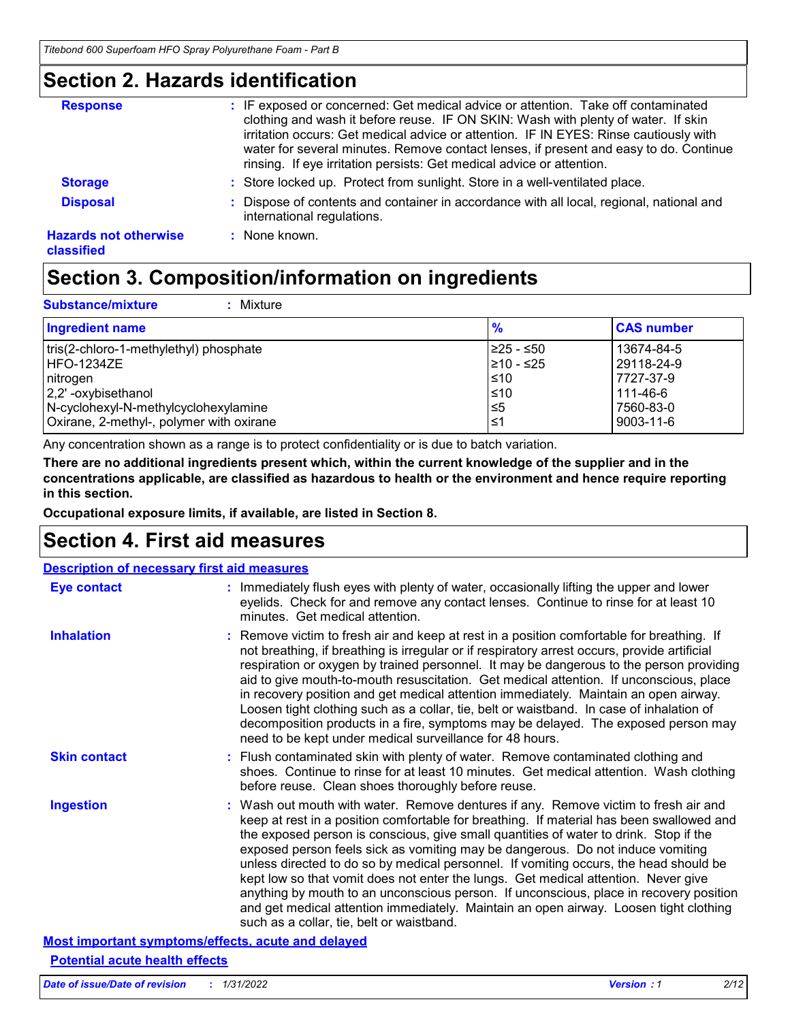### **Section 2. Hazards identification**

| <b>Response</b>                            | : IF exposed or concerned: Get medical advice or attention. Take off contaminated<br>clothing and wash it before reuse. IF ON SKIN: Wash with plenty of water. If skin<br>irritation occurs: Get medical advice or attention. IF IN EYES: Rinse cautiously with<br>water for several minutes. Remove contact lenses, if present and easy to do. Continue<br>rinsing. If eye irritation persists: Get medical advice or attention. |
|--------------------------------------------|-----------------------------------------------------------------------------------------------------------------------------------------------------------------------------------------------------------------------------------------------------------------------------------------------------------------------------------------------------------------------------------------------------------------------------------|
| <b>Storage</b>                             | : Store locked up. Protect from sunlight. Store in a well-ventilated place.                                                                                                                                                                                                                                                                                                                                                       |
| <b>Disposal</b>                            | Dispose of contents and container in accordance with all local, regional, national and<br>international regulations.                                                                                                                                                                                                                                                                                                              |
| <b>Hazards not otherwise</b><br>classified | : None known.                                                                                                                                                                                                                                                                                                                                                                                                                     |
|                                            |                                                                                                                                                                                                                                                                                                                                                                                                                                   |

# **Section 3. Composition/information on ingredients**

| <b>Substance/mixture</b><br>Mixture                                                                                                                                               |                                                             |                                                                                   |
|-----------------------------------------------------------------------------------------------------------------------------------------------------------------------------------|-------------------------------------------------------------|-----------------------------------------------------------------------------------|
| Ingredient name                                                                                                                                                                   | $\frac{9}{6}$                                               | <b>CAS number</b>                                                                 |
| tris(2-chloro-1-methylethyl) phosphate<br><b>HFO-1234ZE</b><br>nitrogen<br>2,2'-oxybisethanol<br>N-cyclohexyl-N-methylcyclohexylamine<br>Oxirane, 2-methyl-, polymer with oxirane | 1≥25 - ≤50<br>210 - ≤25<br>$\leq 10$<br>$≤10$<br>ל≥ا<br>1≤ا | 13674-84-5<br>29118-24-9<br>7727-37-9<br>111-46-6<br>7560-83-0<br>$9003 - 11 - 6$ |

Any concentration shown as a range is to protect confidentiality or is due to batch variation.

**There are no additional ingredients present which, within the current knowledge of the supplier and in the concentrations applicable, are classified as hazardous to health or the environment and hence require reporting in this section.**

**Occupational exposure limits, if available, are listed in Section 8.**

# **Section 4. First aid measures**

| <b>Description of necessary first aid measures</b>        |                                                                                                                                                                                                                                                                                                                                                                                                                                                                                                                                                                                                                                                                                                                                                                           |  |  |
|-----------------------------------------------------------|---------------------------------------------------------------------------------------------------------------------------------------------------------------------------------------------------------------------------------------------------------------------------------------------------------------------------------------------------------------------------------------------------------------------------------------------------------------------------------------------------------------------------------------------------------------------------------------------------------------------------------------------------------------------------------------------------------------------------------------------------------------------------|--|--|
| <b>Eye contact</b>                                        | : Immediately flush eyes with plenty of water, occasionally lifting the upper and lower<br>eyelids. Check for and remove any contact lenses. Continue to rinse for at least 10<br>minutes. Get medical attention.                                                                                                                                                                                                                                                                                                                                                                                                                                                                                                                                                         |  |  |
| <b>Inhalation</b>                                         | : Remove victim to fresh air and keep at rest in a position comfortable for breathing. If<br>not breathing, if breathing is irregular or if respiratory arrest occurs, provide artificial<br>respiration or oxygen by trained personnel. It may be dangerous to the person providing<br>aid to give mouth-to-mouth resuscitation. Get medical attention. If unconscious, place<br>in recovery position and get medical attention immediately. Maintain an open airway.<br>Loosen tight clothing such as a collar, tie, belt or waistband. In case of inhalation of<br>decomposition products in a fire, symptoms may be delayed. The exposed person may<br>need to be kept under medical surveillance for 48 hours.                                                       |  |  |
| <b>Skin contact</b>                                       | : Flush contaminated skin with plenty of water. Remove contaminated clothing and<br>shoes. Continue to rinse for at least 10 minutes. Get medical attention. Wash clothing<br>before reuse. Clean shoes thoroughly before reuse.                                                                                                                                                                                                                                                                                                                                                                                                                                                                                                                                          |  |  |
| <b>Ingestion</b>                                          | : Wash out mouth with water. Remove dentures if any. Remove victim to fresh air and<br>keep at rest in a position comfortable for breathing. If material has been swallowed and<br>the exposed person is conscious, give small quantities of water to drink. Stop if the<br>exposed person feels sick as vomiting may be dangerous. Do not induce vomiting<br>unless directed to do so by medical personnel. If vomiting occurs, the head should be<br>kept low so that vomit does not enter the lungs. Get medical attention. Never give<br>anything by mouth to an unconscious person. If unconscious, place in recovery position<br>and get medical attention immediately. Maintain an open airway. Loosen tight clothing<br>such as a collar, tie, belt or waistband. |  |  |
| <b>Most important symptoms/effects, acute and delayed</b> |                                                                                                                                                                                                                                                                                                                                                                                                                                                                                                                                                                                                                                                                                                                                                                           |  |  |

### **Potential acute health effects**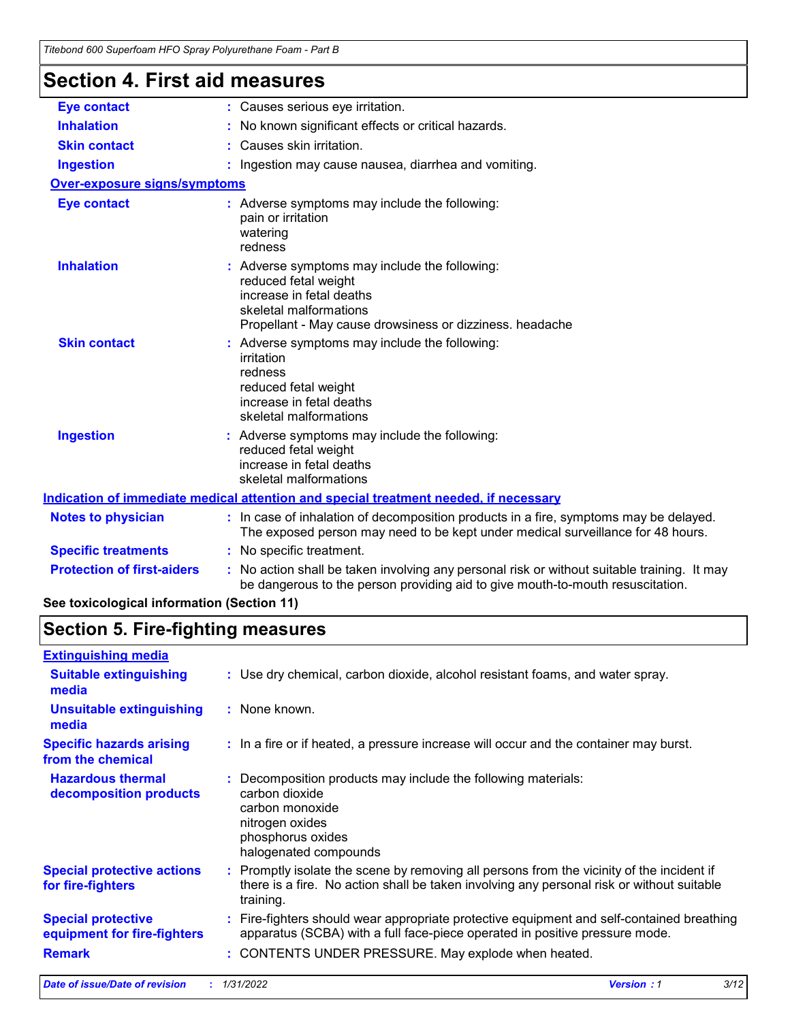### **Section 4. First aid measures**

| OGUNUN 7. LII 31 GIU HIGASULGS             |                                                                                                                                                                                         |  |  |  |  |
|--------------------------------------------|-----------------------------------------------------------------------------------------------------------------------------------------------------------------------------------------|--|--|--|--|
| <b>Eye contact</b>                         | : Causes serious eye irritation.                                                                                                                                                        |  |  |  |  |
| <b>Inhalation</b>                          | : No known significant effects or critical hazards.                                                                                                                                     |  |  |  |  |
| <b>Skin contact</b>                        | : Causes skin irritation.                                                                                                                                                               |  |  |  |  |
| <b>Ingestion</b>                           | : Ingestion may cause nausea, diarrhea and vomiting.                                                                                                                                    |  |  |  |  |
| <b>Over-exposure signs/symptoms</b>        |                                                                                                                                                                                         |  |  |  |  |
| <b>Eye contact</b>                         | : Adverse symptoms may include the following:<br>pain or irritation<br>watering<br>redness                                                                                              |  |  |  |  |
| <b>Inhalation</b>                          | : Adverse symptoms may include the following:<br>reduced fetal weight<br>increase in fetal deaths<br>skeletal malformations<br>Propellant - May cause drowsiness or dizziness. headache |  |  |  |  |
| <b>Skin contact</b>                        | : Adverse symptoms may include the following:<br>irritation<br>redness<br>reduced fetal weight<br>increase in fetal deaths<br>skeletal malformations                                    |  |  |  |  |
| <b>Ingestion</b>                           | : Adverse symptoms may include the following:<br>reduced fetal weight<br>increase in fetal deaths<br>skeletal malformations                                                             |  |  |  |  |
|                                            | Indication of immediate medical attention and special treatment needed, if necessary                                                                                                    |  |  |  |  |
| <b>Notes to physician</b>                  | : In case of inhalation of decomposition products in a fire, symptoms may be delayed.<br>The exposed person may need to be kept under medical surveillance for 48 hours.                |  |  |  |  |
| <b>Specific treatments</b>                 | : No specific treatment.                                                                                                                                                                |  |  |  |  |
| <b>Protection of first-aiders</b>          | : No action shall be taken involving any personal risk or without suitable training. It may<br>be dangerous to the person providing aid to give mouth-to-mouth resuscitation.           |  |  |  |  |
| See toxicological information (Section 11) |                                                                                                                                                                                         |  |  |  |  |
|                                            |                                                                                                                                                                                         |  |  |  |  |

# **Section 5. Fire-fighting measures**

| <b>Suitable extinguishing</b><br>: Use dry chemical, carbon dioxide, alcohol resistant foams, and water spray.<br>media<br><b>Unsuitable extinguishing</b><br>: None known.<br>media<br><b>Specific hazards arising</b><br>: In a fire or if heated, a pressure increase will occur and the container may burst.<br>from the chemical |  |
|---------------------------------------------------------------------------------------------------------------------------------------------------------------------------------------------------------------------------------------------------------------------------------------------------------------------------------------|--|
|                                                                                                                                                                                                                                                                                                                                       |  |
|                                                                                                                                                                                                                                                                                                                                       |  |
|                                                                                                                                                                                                                                                                                                                                       |  |
| <b>Hazardous thermal</b><br>Decomposition products may include the following materials:<br>carbon dioxide<br>decomposition products<br>carbon monoxide<br>nitrogen oxides<br>phosphorus oxides<br>halogenated compounds                                                                                                               |  |
| Promptly isolate the scene by removing all persons from the vicinity of the incident if<br><b>Special protective actions</b><br>there is a fire. No action shall be taken involving any personal risk or without suitable<br>for fire-fighters<br>training.                                                                           |  |
| <b>Special protective</b><br>: Fire-fighters should wear appropriate protective equipment and self-contained breathing<br>apparatus (SCBA) with a full face-piece operated in positive pressure mode.<br>equipment for fire-fighters                                                                                                  |  |
| <b>Remark</b><br>: CONTENTS UNDER PRESSURE. May explode when heated.                                                                                                                                                                                                                                                                  |  |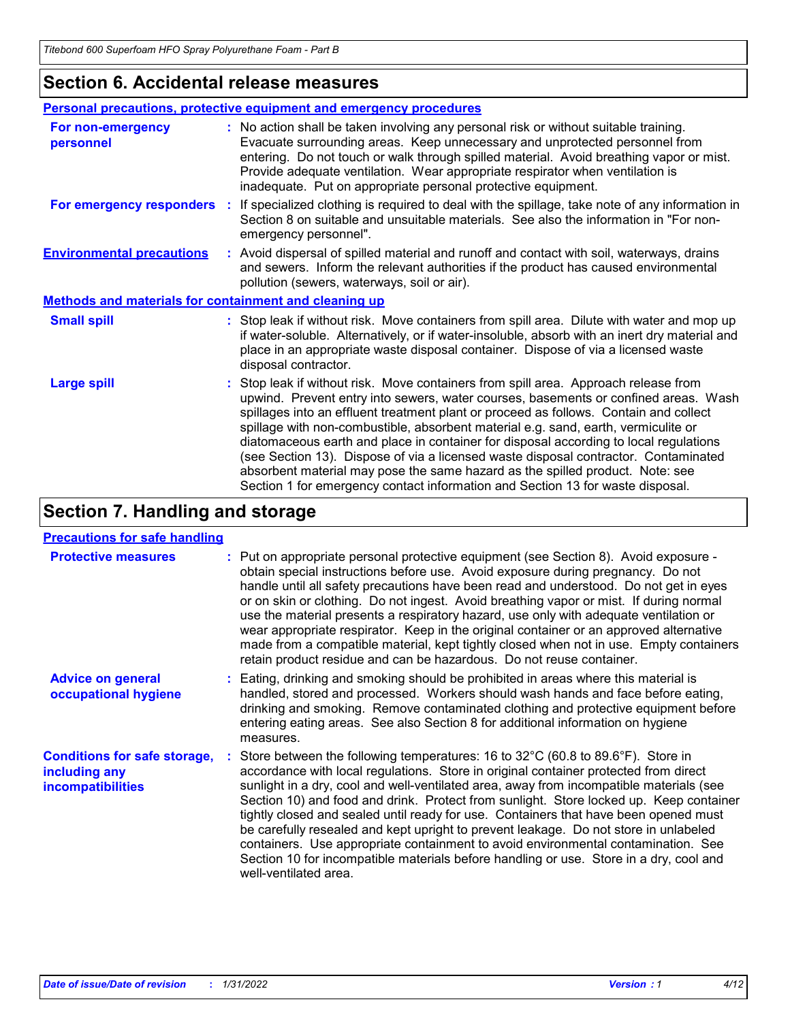### **Section 6. Accidental release measures**

| Personal precautions, protective equipment and emergency procedures |                                                                                                                                                                                                                                                                                                                                                                                                                                                                                                                                                                                                                                                                                                              |  |
|---------------------------------------------------------------------|--------------------------------------------------------------------------------------------------------------------------------------------------------------------------------------------------------------------------------------------------------------------------------------------------------------------------------------------------------------------------------------------------------------------------------------------------------------------------------------------------------------------------------------------------------------------------------------------------------------------------------------------------------------------------------------------------------------|--|
| For non-emergency<br>personnel                                      | : No action shall be taken involving any personal risk or without suitable training.<br>Evacuate surrounding areas. Keep unnecessary and unprotected personnel from<br>entering. Do not touch or walk through spilled material. Avoid breathing vapor or mist.<br>Provide adequate ventilation. Wear appropriate respirator when ventilation is<br>inadequate. Put on appropriate personal protective equipment.                                                                                                                                                                                                                                                                                             |  |
| For emergency responders                                            | : If specialized clothing is required to deal with the spillage, take note of any information in<br>Section 8 on suitable and unsuitable materials. See also the information in "For non-<br>emergency personnel".                                                                                                                                                                                                                                                                                                                                                                                                                                                                                           |  |
| <b>Environmental precautions</b>                                    | : Avoid dispersal of spilled material and runoff and contact with soil, waterways, drains<br>and sewers. Inform the relevant authorities if the product has caused environmental<br>pollution (sewers, waterways, soil or air).                                                                                                                                                                                                                                                                                                                                                                                                                                                                              |  |
| <b>Methods and materials for containment and cleaning up</b>        |                                                                                                                                                                                                                                                                                                                                                                                                                                                                                                                                                                                                                                                                                                              |  |
| <b>Small spill</b>                                                  | : Stop leak if without risk. Move containers from spill area. Dilute with water and mop up<br>if water-soluble. Alternatively, or if water-insoluble, absorb with an inert dry material and<br>place in an appropriate waste disposal container. Dispose of via a licensed waste<br>disposal contractor.                                                                                                                                                                                                                                                                                                                                                                                                     |  |
| <b>Large spill</b>                                                  | : Stop leak if without risk. Move containers from spill area. Approach release from<br>upwind. Prevent entry into sewers, water courses, basements or confined areas. Wash<br>spillages into an effluent treatment plant or proceed as follows. Contain and collect<br>spillage with non-combustible, absorbent material e.g. sand, earth, vermiculite or<br>diatomaceous earth and place in container for disposal according to local regulations<br>(see Section 13). Dispose of via a licensed waste disposal contractor. Contaminated<br>absorbent material may pose the same hazard as the spilled product. Note: see<br>Section 1 for emergency contact information and Section 13 for waste disposal. |  |

# **Section 7. Handling and storage**

#### **Precautions for safe handling**

| <b>Protective measures</b>                                                       | : Put on appropriate personal protective equipment (see Section 8). Avoid exposure -<br>obtain special instructions before use. Avoid exposure during pregnancy. Do not<br>handle until all safety precautions have been read and understood. Do not get in eyes<br>or on skin or clothing. Do not ingest. Avoid breathing vapor or mist. If during normal<br>use the material presents a respiratory hazard, use only with adequate ventilation or<br>wear appropriate respirator. Keep in the original container or an approved alternative<br>made from a compatible material, kept tightly closed when not in use. Empty containers<br>retain product residue and can be hazardous. Do not reuse container.                                                  |
|----------------------------------------------------------------------------------|------------------------------------------------------------------------------------------------------------------------------------------------------------------------------------------------------------------------------------------------------------------------------------------------------------------------------------------------------------------------------------------------------------------------------------------------------------------------------------------------------------------------------------------------------------------------------------------------------------------------------------------------------------------------------------------------------------------------------------------------------------------|
| <b>Advice on general</b><br>occupational hygiene                                 | : Eating, drinking and smoking should be prohibited in areas where this material is<br>handled, stored and processed. Workers should wash hands and face before eating,<br>drinking and smoking. Remove contaminated clothing and protective equipment before<br>entering eating areas. See also Section 8 for additional information on hygiene<br>measures.                                                                                                                                                                                                                                                                                                                                                                                                    |
| <b>Conditions for safe storage,</b><br>including any<br><b>incompatibilities</b> | : Store between the following temperatures: 16 to $32^{\circ}$ C (60.8 to 89.6°F). Store in<br>accordance with local regulations. Store in original container protected from direct<br>sunlight in a dry, cool and well-ventilated area, away from incompatible materials (see<br>Section 10) and food and drink. Protect from sunlight. Store locked up. Keep container<br>tightly closed and sealed until ready for use. Containers that have been opened must<br>be carefully resealed and kept upright to prevent leakage. Do not store in unlabeled<br>containers. Use appropriate containment to avoid environmental contamination. See<br>Section 10 for incompatible materials before handling or use. Store in a dry, cool and<br>well-ventilated area. |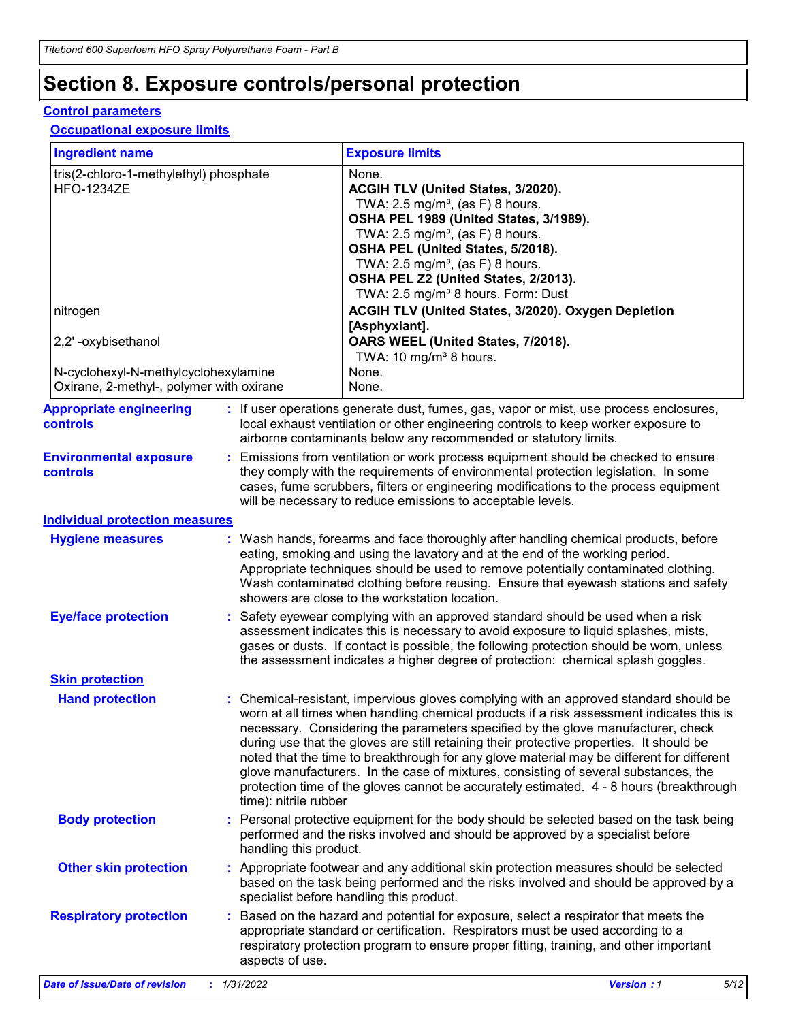# **Section 8. Exposure controls/personal protection**

#### **Control parameters**

#### **Occupational exposure limits**

| <b>Ingredient name</b>                                                           |                        | <b>Exposure limits</b>                                                                                                                                                                                                                                                                                                                                                                                                                                                                                                                                                                                                                           |
|----------------------------------------------------------------------------------|------------------------|--------------------------------------------------------------------------------------------------------------------------------------------------------------------------------------------------------------------------------------------------------------------------------------------------------------------------------------------------------------------------------------------------------------------------------------------------------------------------------------------------------------------------------------------------------------------------------------------------------------------------------------------------|
| tris(2-chloro-1-methylethyl) phosphate<br><b>HFO-1234ZE</b>                      |                        | None.<br>ACGIH TLV (United States, 3/2020).<br>TWA: $2.5 \text{ mg/m}^3$ , (as F) 8 hours.<br>OSHA PEL 1989 (United States, 3/1989).<br>TWA: $2.5 \text{ mg/m}^3$ , (as F) 8 hours.<br>OSHA PEL (United States, 5/2018).<br>TWA: $2.5 \text{ mg/m}^3$ , (as F) 8 hours.<br>OSHA PEL Z2 (United States, 2/2013).<br>TWA: 2.5 mg/m <sup>3</sup> 8 hours. Form: Dust                                                                                                                                                                                                                                                                                |
| nitrogen                                                                         |                        | ACGIH TLV (United States, 3/2020). Oxygen Depletion<br>[Asphyxiant].                                                                                                                                                                                                                                                                                                                                                                                                                                                                                                                                                                             |
| 2,2' -oxybisethanol                                                              |                        | OARS WEEL (United States, 7/2018).<br>TWA: 10 mg/m <sup>3</sup> 8 hours.                                                                                                                                                                                                                                                                                                                                                                                                                                                                                                                                                                         |
| N-cyclohexyl-N-methylcyclohexylamine<br>Oxirane, 2-methyl-, polymer with oxirane |                        | None.<br>None.                                                                                                                                                                                                                                                                                                                                                                                                                                                                                                                                                                                                                                   |
| <b>Appropriate engineering</b><br><b>controls</b>                                |                        | : If user operations generate dust, fumes, gas, vapor or mist, use process enclosures,<br>local exhaust ventilation or other engineering controls to keep worker exposure to<br>airborne contaminants below any recommended or statutory limits.                                                                                                                                                                                                                                                                                                                                                                                                 |
| <b>Environmental exposure</b><br>controls                                        |                        | Emissions from ventilation or work process equipment should be checked to ensure<br>they comply with the requirements of environmental protection legislation. In some<br>cases, fume scrubbers, filters or engineering modifications to the process equipment<br>will be necessary to reduce emissions to acceptable levels.                                                                                                                                                                                                                                                                                                                    |
| <b>Individual protection measures</b>                                            |                        |                                                                                                                                                                                                                                                                                                                                                                                                                                                                                                                                                                                                                                                  |
| <b>Hygiene measures</b>                                                          |                        | Wash hands, forearms and face thoroughly after handling chemical products, before<br>eating, smoking and using the lavatory and at the end of the working period.<br>Appropriate techniques should be used to remove potentially contaminated clothing.<br>Wash contaminated clothing before reusing. Ensure that eyewash stations and safety<br>showers are close to the workstation location.                                                                                                                                                                                                                                                  |
| <b>Eye/face protection</b>                                                       |                        | Safety eyewear complying with an approved standard should be used when a risk<br>assessment indicates this is necessary to avoid exposure to liquid splashes, mists,<br>gases or dusts. If contact is possible, the following protection should be worn, unless<br>the assessment indicates a higher degree of protection: chemical splash goggles.                                                                                                                                                                                                                                                                                              |
| <b>Skin protection</b>                                                           |                        |                                                                                                                                                                                                                                                                                                                                                                                                                                                                                                                                                                                                                                                  |
| <b>Hand protection</b>                                                           | time): nitrile rubber  | : Chemical-resistant, impervious gloves complying with an approved standard should be<br>worn at all times when handling chemical products if a risk assessment indicates this is<br>necessary. Considering the parameters specified by the glove manufacturer, check<br>during use that the gloves are still retaining their protective properties. It should be<br>noted that the time to breakthrough for any glove material may be different for different<br>glove manufacturers. In the case of mixtures, consisting of several substances, the<br>protection time of the gloves cannot be accurately estimated. 4 - 8 hours (breakthrough |
| <b>Body protection</b>                                                           | handling this product. | Personal protective equipment for the body should be selected based on the task being<br>performed and the risks involved and should be approved by a specialist before                                                                                                                                                                                                                                                                                                                                                                                                                                                                          |
| <b>Other skin protection</b>                                                     |                        | Appropriate footwear and any additional skin protection measures should be selected<br>based on the task being performed and the risks involved and should be approved by a<br>specialist before handling this product.                                                                                                                                                                                                                                                                                                                                                                                                                          |
| <b>Respiratory protection</b>                                                    | aspects of use.        | Based on the hazard and potential for exposure, select a respirator that meets the<br>appropriate standard or certification. Respirators must be used according to a<br>respiratory protection program to ensure proper fitting, training, and other important                                                                                                                                                                                                                                                                                                                                                                                   |
| <b>Date of issue/Date of revision</b>                                            | 1/31/2022              | 5/12<br><b>Version: 1</b>                                                                                                                                                                                                                                                                                                                                                                                                                                                                                                                                                                                                                        |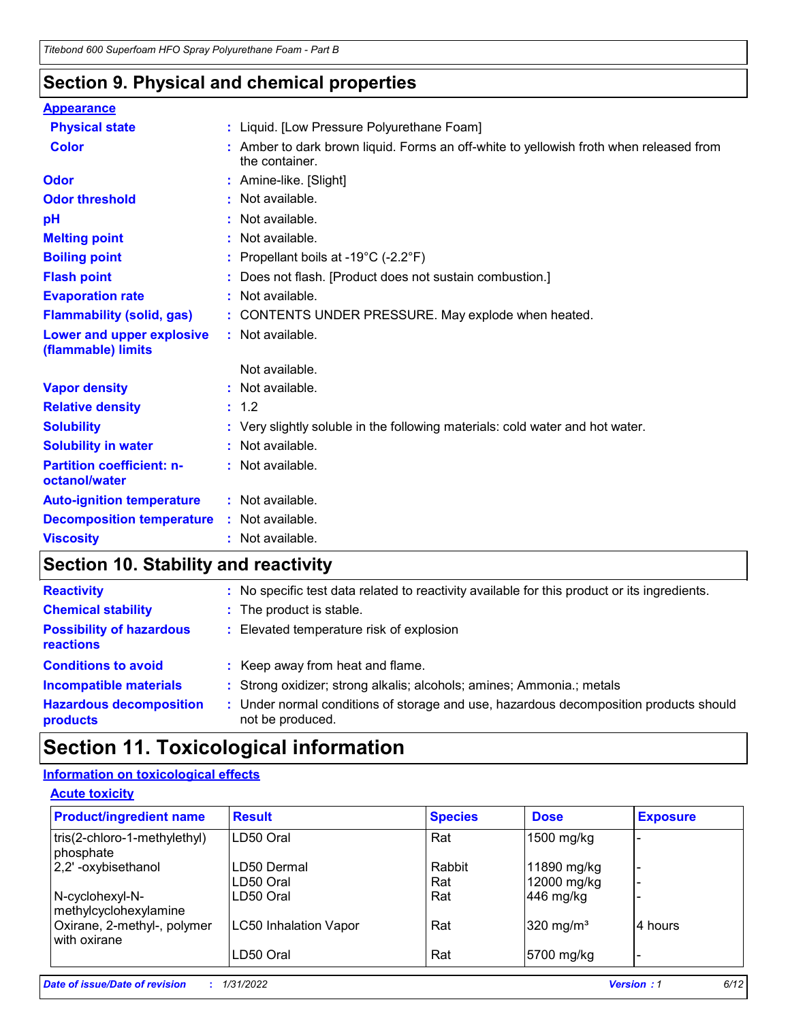### **Section 9. Physical and chemical properties**

| <b>Appearance</b>                                 |                                                                                                          |
|---------------------------------------------------|----------------------------------------------------------------------------------------------------------|
| <b>Physical state</b>                             | : Liquid. [Low Pressure Polyurethane Foam]                                                               |
| <b>Color</b>                                      | : Amber to dark brown liquid. Forms an off-white to yellowish froth when released from<br>the container. |
| Odor                                              | : Amine-like. [Slight]                                                                                   |
| <b>Odor threshold</b>                             | : Not available.                                                                                         |
| pH                                                | : Not available.                                                                                         |
| <b>Melting point</b>                              | : Not available.                                                                                         |
| <b>Boiling point</b>                              | : Propellant boils at -19 $^{\circ}$ C (-2.2 $^{\circ}$ F)                                               |
| <b>Flash point</b>                                | : Does not flash. [Product does not sustain combustion.]                                                 |
| <b>Evaporation rate</b>                           | : Not available.                                                                                         |
| <b>Flammability (solid, gas)</b>                  | : CONTENTS UNDER PRESSURE. May explode when heated.                                                      |
| Lower and upper explosive<br>(flammable) limits   | : Not available.                                                                                         |
|                                                   | Not available.                                                                                           |
| <b>Vapor density</b>                              | : Not available.                                                                                         |
| <b>Relative density</b>                           | : 1.2                                                                                                    |
| <b>Solubility</b>                                 | : Very slightly soluble in the following materials: cold water and hot water.                            |
| <b>Solubility in water</b>                        | : Not available.                                                                                         |
| <b>Partition coefficient: n-</b><br>octanol/water | : Not available.                                                                                         |
| <b>Auto-ignition temperature</b>                  | : Not available.                                                                                         |
| <b>Decomposition temperature</b>                  | : Not available.                                                                                         |
| <b>Viscosity</b>                                  | : Not available.                                                                                         |

# **Section 10. Stability and reactivity**

| <b>Reactivity</b>                            | : No specific test data related to reactivity available for this product or its ingredients.              |
|----------------------------------------------|-----------------------------------------------------------------------------------------------------------|
| <b>Chemical stability</b>                    | : The product is stable.                                                                                  |
| <b>Possibility of hazardous</b><br>reactions | : Elevated temperature risk of explosion                                                                  |
| <b>Conditions to avoid</b>                   | : Keep away from heat and flame.                                                                          |
| <b>Incompatible materials</b>                | : Strong oxidizer; strong alkalis; alcohols; amines; Ammonia.; metals                                     |
| <b>Hazardous decomposition</b><br>products   | : Under normal conditions of storage and use, hazardous decomposition products should<br>not be produced. |

# **Section 11. Toxicological information**

### **Information on toxicological effects**

| <b>Product/ingredient name</b>              | <b>Result</b>                | <b>Species</b> | <b>Dose</b>           | <b>Exposure</b> |
|---------------------------------------------|------------------------------|----------------|-----------------------|-----------------|
| tris(2-chloro-1-methylethyl)<br>phosphate   | LD50 Oral                    | Rat            | 1500 mg/kg            |                 |
| 2,2'-oxybisethanol                          | LD50 Dermal                  | Rabbit         | 11890 mg/kg           |                 |
|                                             | LD50 Oral                    | Rat            | 12000 mg/kg           |                 |
| N-cyclohexyl-N-<br>methylcyclohexylamine    | LD50 Oral                    | Rat            | 446 mg/kg             |                 |
| Oxirane, 2-methyl-, polymer<br>with oxirane | <b>LC50 Inhalation Vapor</b> | Rat            | 320 mg/m <sup>3</sup> | 4 hours         |
|                                             | LD50 Oral                    | Rat            | 5700 mg/kg            |                 |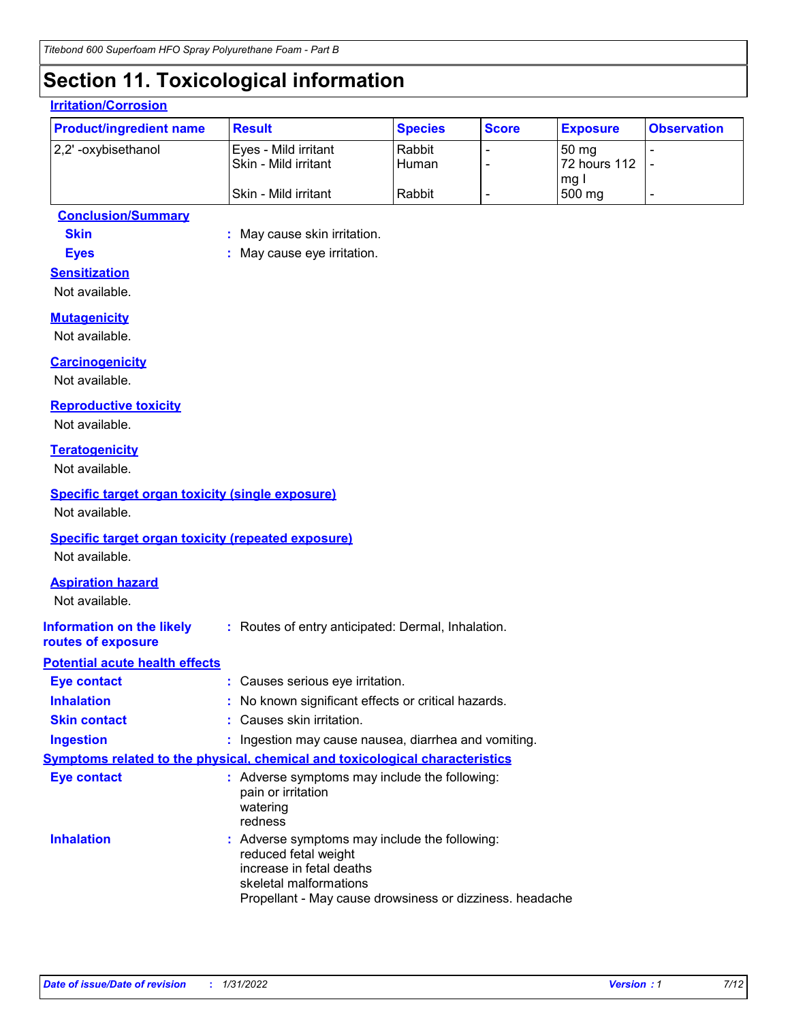# **Section 11. Toxicological information**

| <b>Product/ingredient name</b>                                               | <b>Result</b>                                                                                                | <b>Species</b>  | <b>Score</b>             | <b>Exposure</b>       | <b>Observation</b>       |
|------------------------------------------------------------------------------|--------------------------------------------------------------------------------------------------------------|-----------------|--------------------------|-----------------------|--------------------------|
| 2,2' -oxybisethanol                                                          | Eyes - Mild irritant<br>Skin - Mild irritant                                                                 | Rabbit<br>Human |                          | 50 mg<br>72 hours 112 | $\blacksquare$<br>Ĭ.     |
|                                                                              | Skin - Mild irritant                                                                                         | Rabbit          | $\overline{\phantom{0}}$ | mg I<br>500 mg        | $\overline{\phantom{a}}$ |
| <b>Conclusion/Summary</b>                                                    |                                                                                                              |                 |                          |                       |                          |
| <b>Skin</b>                                                                  | : May cause skin irritation.                                                                                 |                 |                          |                       |                          |
| <b>Eyes</b>                                                                  | May cause eye irritation.                                                                                    |                 |                          |                       |                          |
| <b>Sensitization</b>                                                         |                                                                                                              |                 |                          |                       |                          |
| Not available.                                                               |                                                                                                              |                 |                          |                       |                          |
| <b>Mutagenicity</b>                                                          |                                                                                                              |                 |                          |                       |                          |
| Not available.                                                               |                                                                                                              |                 |                          |                       |                          |
| <b>Carcinogenicity</b>                                                       |                                                                                                              |                 |                          |                       |                          |
| Not available.                                                               |                                                                                                              |                 |                          |                       |                          |
| <b>Reproductive toxicity</b>                                                 |                                                                                                              |                 |                          |                       |                          |
| Not available.                                                               |                                                                                                              |                 |                          |                       |                          |
| <b>Teratogenicity</b>                                                        |                                                                                                              |                 |                          |                       |                          |
| Not available.                                                               |                                                                                                              |                 |                          |                       |                          |
| <b>Specific target organ toxicity (single exposure)</b>                      |                                                                                                              |                 |                          |                       |                          |
| Not available.                                                               |                                                                                                              |                 |                          |                       |                          |
| <b>Specific target organ toxicity (repeated exposure)</b>                    |                                                                                                              |                 |                          |                       |                          |
| Not available.                                                               |                                                                                                              |                 |                          |                       |                          |
| <b>Aspiration hazard</b>                                                     |                                                                                                              |                 |                          |                       |                          |
| Not available.                                                               |                                                                                                              |                 |                          |                       |                          |
| <b>Information on the likely</b>                                             | : Routes of entry anticipated: Dermal, Inhalation.                                                           |                 |                          |                       |                          |
| routes of exposure                                                           |                                                                                                              |                 |                          |                       |                          |
| <b>Potential acute health effects</b>                                        |                                                                                                              |                 |                          |                       |                          |
| <b>Eye contact</b>                                                           | : Causes serious eye irritation.                                                                             |                 |                          |                       |                          |
| <b>Inhalation</b>                                                            | No known significant effects or critical hazards.                                                            |                 |                          |                       |                          |
| <b>Skin contact</b>                                                          | Causes skin irritation.                                                                                      |                 |                          |                       |                          |
| <b>Ingestion</b>                                                             | : Ingestion may cause nausea, diarrhea and vomiting.                                                         |                 |                          |                       |                          |
| Symptoms related to the physical, chemical and toxicological characteristics |                                                                                                              |                 |                          |                       |                          |
| <b>Eye contact</b>                                                           | : Adverse symptoms may include the following:<br>pain or irritation<br>watering                              |                 |                          |                       |                          |
| <b>Inhalation</b>                                                            | redness<br>: Adverse symptoms may include the following:<br>reduced fetal weight<br>increase in fetal deaths |                 |                          |                       |                          |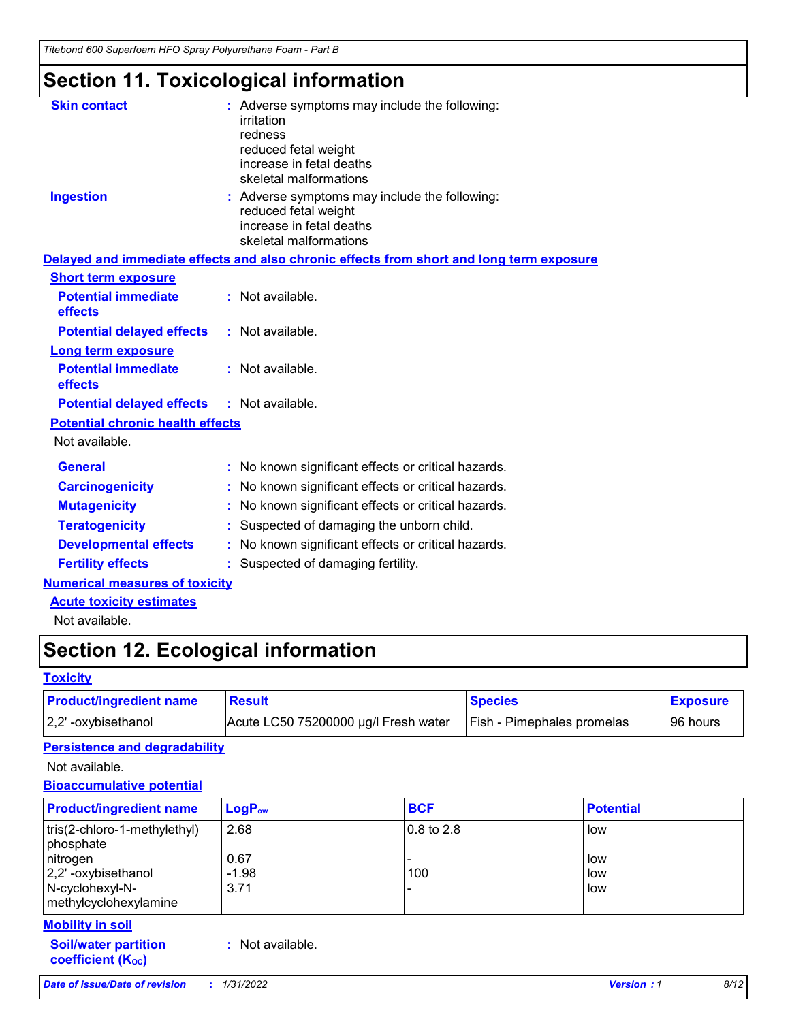# **Section 11. Toxicological information**

| <b>Skin contact</b>                     | : Adverse symptoms may include the following:<br>irritation<br>redness<br>reduced fetal weight<br>increase in fetal deaths<br>skeletal malformations |  |
|-----------------------------------------|------------------------------------------------------------------------------------------------------------------------------------------------------|--|
| <b>Ingestion</b>                        | : Adverse symptoms may include the following:<br>reduced fetal weight<br>increase in fetal deaths<br>skeletal malformations                          |  |
|                                         | Delayed and immediate effects and also chronic effects from short and long term exposure                                                             |  |
| <b>Short term exposure</b>              |                                                                                                                                                      |  |
| <b>Potential immediate</b><br>effects   | : Not available.                                                                                                                                     |  |
| <b>Potential delayed effects</b>        | $:$ Not available.                                                                                                                                   |  |
| <b>Long term exposure</b>               |                                                                                                                                                      |  |
| <b>Potential immediate</b><br>effects   | : Not available.                                                                                                                                     |  |
| <b>Potential delayed effects</b>        | : Not available.                                                                                                                                     |  |
| <b>Potential chronic health effects</b> |                                                                                                                                                      |  |
| Not available.                          |                                                                                                                                                      |  |
| <b>General</b>                          | : No known significant effects or critical hazards.                                                                                                  |  |
| <b>Carcinogenicity</b>                  | : No known significant effects or critical hazards.                                                                                                  |  |
| <b>Mutagenicity</b>                     | No known significant effects or critical hazards.                                                                                                    |  |
| <b>Teratogenicity</b>                   | : Suspected of damaging the unborn child.                                                                                                            |  |
| <b>Developmental effects</b>            | : No known significant effects or critical hazards.                                                                                                  |  |
| <b>Fertility effects</b>                | : Suspected of damaging fertility.                                                                                                                   |  |
| <b>Numerical measures of toxicity</b>   |                                                                                                                                                      |  |
|                                         |                                                                                                                                                      |  |

#### **Acute toxicity estimates**

Not available.

# **Section 12. Ecological information**

#### **Toxicity**

| <b>Product/ingredient name</b> | <b>Result</b>                        | <b>Species</b>                    | <b>Exposure</b> |
|--------------------------------|--------------------------------------|-----------------------------------|-----------------|
| 2,2' -oxybisethanol            | Acute LC50 75200000 µg/l Fresh water | <b>Fish - Pimephales promelas</b> | 96 hours        |

#### **Persistence and degradability**

Not available.

#### **Bioaccumulative potential**

| <b>Product/ingredient name</b>                                             | $LogP_{ow}$             | <b>BCF</b>              | <b>Potential</b>  |
|----------------------------------------------------------------------------|-------------------------|-------------------------|-------------------|
| tris(2-chloro-1-methylethyl)<br>phosphate                                  | 2.68                    | $ 0.8 \text{ to } 2.8 $ | low               |
| nitrogen<br>2,2'-oxybisethanol<br>N-cyclohexyl-N-<br>methylcyclohexylamine | 0.67<br>$-1.98$<br>3.71 | 100                     | low<br>low<br>low |

#### **Mobility in soil**

**Soil/water partition coefficient (Koc) :** Not available.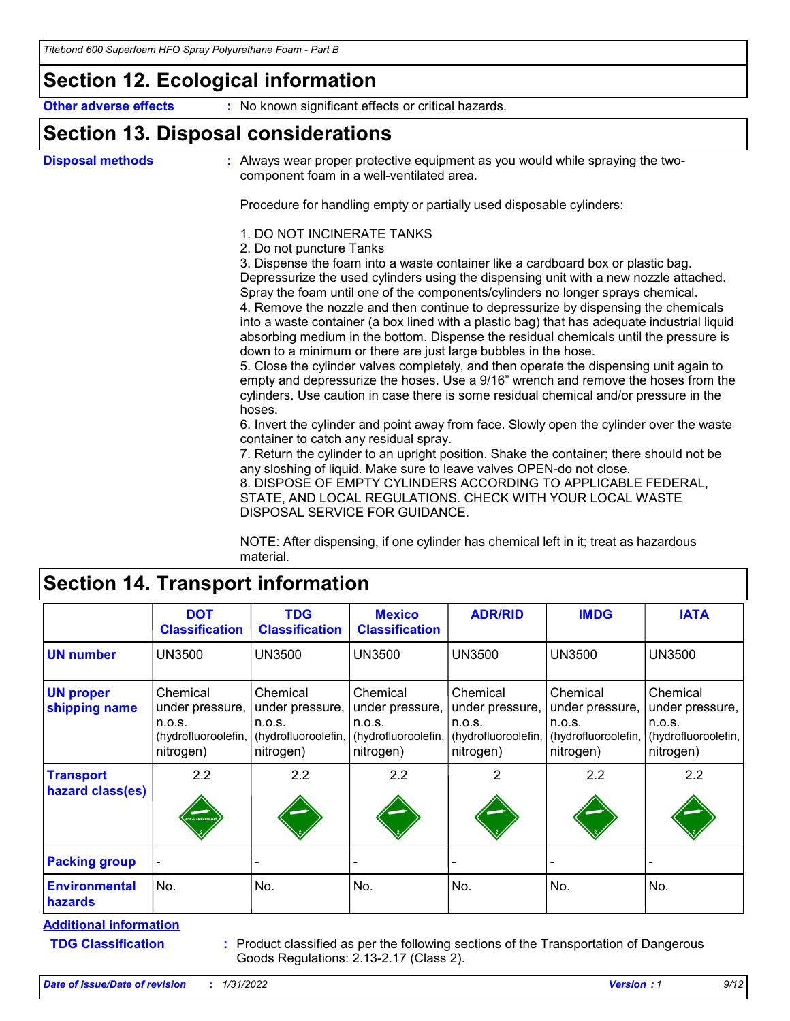### **Section 12. Ecological information**

**Other adverse effects** : No known significant effects or critical hazards.

### **Section 13. Disposal considerations**

**Disposal methods :**

Always wear proper protective equipment as you would while spraying the twocomponent foam in a well-ventilated area.

Procedure for handling empty or partially used disposable cylinders:

#### 1. DO NOT INCINERATE TANKS

2. Do not puncture Tanks

3. Dispense the foam into a waste container like a cardboard box or plastic bag. Depressurize the used cylinders using the dispensing unit with a new nozzle attached. Spray the foam until one of the components/cylinders no longer sprays chemical. 4. Remove the nozzle and then continue to depressurize by dispensing the chemicals

into a waste container (a box lined with a plastic bag) that has adequate industrial liquid absorbing medium in the bottom. Dispense the residual chemicals until the pressure is down to a minimum or there are just large bubbles in the hose.

5. Close the cylinder valves completely, and then operate the dispensing unit again to empty and depressurize the hoses. Use a 9/16" wrench and remove the hoses from the cylinders. Use caution in case there is some residual chemical and/or pressure in the hoses.

6. Invert the cylinder and point away from face. Slowly open the cylinder over the waste container to catch any residual spray.

7. Return the cylinder to an upright position. Shake the container; there should not be any sloshing of liquid. Make sure to leave valves OPEN-do not close.

8. DISPOSE OF EMPTY CYLINDERS ACCORDING TO APPLICABLE FEDERAL, STATE, AND LOCAL REGULATIONS. CHECK WITH YOUR LOCAL WASTE DISPOSAL SERVICE FOR GUIDANCE.

NOTE: After dispensing, if one cylinder has chemical left in it; treat as hazardous material.

# **Section 14. Transport information**

|                                        | <b>DOT</b><br><b>Classification</b>                                       | <b>TDG</b><br><b>Classification</b>                                       | <b>Mexico</b><br><b>Classification</b>                                    | <b>ADR/RID</b>                                                            | <b>IMDG</b>                                                               | <b>IATA</b>                                                               |
|----------------------------------------|---------------------------------------------------------------------------|---------------------------------------------------------------------------|---------------------------------------------------------------------------|---------------------------------------------------------------------------|---------------------------------------------------------------------------|---------------------------------------------------------------------------|
| <b>UN number</b>                       | <b>UN3500</b>                                                             | <b>UN3500</b>                                                             | <b>UN3500</b>                                                             | <b>UN3500</b>                                                             | <b>UN3500</b>                                                             | <b>UN3500</b>                                                             |
| <b>UN proper</b><br>shipping name      | Chemical<br>under pressure,<br>n.o.s.<br>(hydrofluoroolefin,<br>nitrogen) | Chemical<br>under pressure,<br>n.o.s.<br>(hydrofluoroolefin,<br>nitrogen) | Chemical<br>under pressure,<br>n.o.s.<br>(hydrofluoroolefin,<br>nitrogen) | Chemical<br>under pressure,<br>n.o.s.<br>(hydrofluoroolefin,<br>nitrogen) | Chemical<br>under pressure,<br>n.o.s.<br>(hydrofluoroolefin,<br>nitrogen) | Chemical<br>under pressure,<br>n.o.s.<br>(hydrofluoroolefin,<br>nitrogen) |
| <b>Transport</b><br>hazard class(es)   | 2.2<br>N FLAMMABLE G                                                      | 2.2                                                                       | 2.2                                                                       | 2                                                                         | 2.2                                                                       | 2.2                                                                       |
| <b>Packing group</b>                   |                                                                           |                                                                           |                                                                           |                                                                           |                                                                           |                                                                           |
| <b>Environmental</b><br><b>hazards</b> | No.                                                                       | No.                                                                       | No.                                                                       | No.                                                                       | No.                                                                       | No.                                                                       |

**Additional information**

**TDG Classification :**

Product classified as per the following sections of the Transportation of Dangerous Goods Regulations: 2.13-2.17 (Class 2).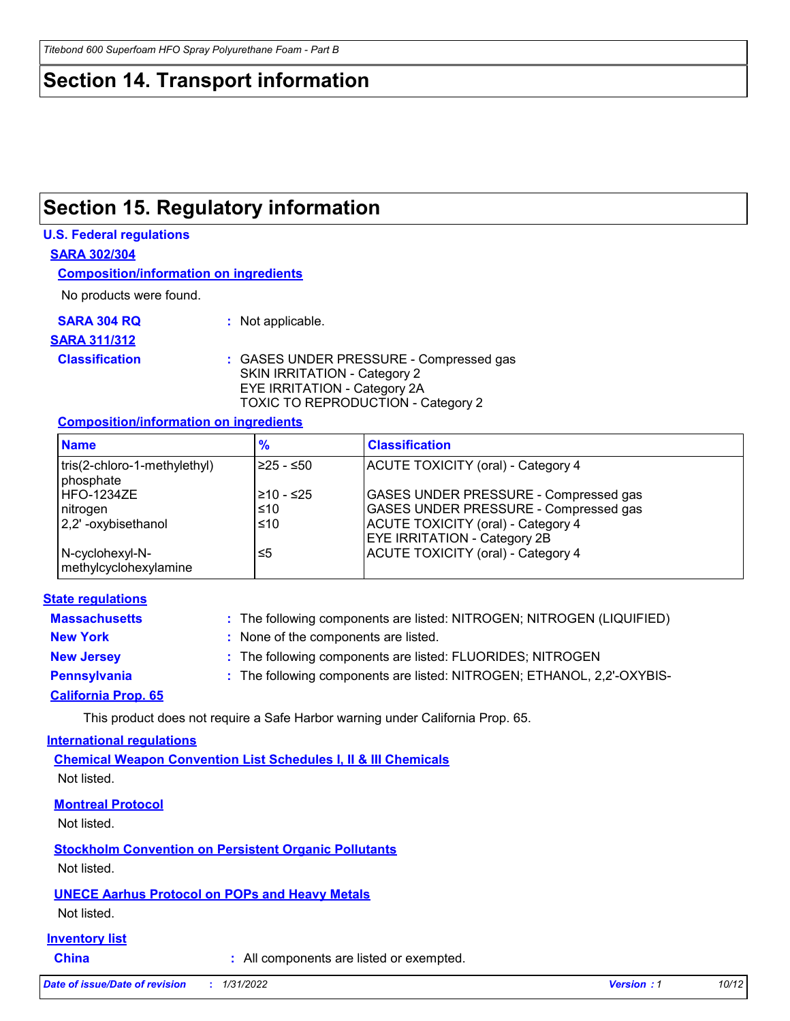### **Section 14. Transport information**

# **Section 15. Regulatory information**

#### **U.S. Federal regulations**

**SARA 302/304**

**Composition/information on ingredients**

No products were found.

**SARA 304 RQ :** Not applicable.

#### **SARA 311/312**

**Classification :** GASES UNDER PRESSURE - Compressed gas SKIN IRRITATION - Category 2 EYE IRRITATION - Category 2A TOXIC TO REPRODUCTION - Category 2

#### **Composition/information on ingredients**

| <b>Name</b>                               | $\frac{9}{6}$ | <b>Classification</b>                        |
|-------------------------------------------|---------------|----------------------------------------------|
| tris(2-chloro-1-methylethyl)<br>phosphate | I≥25 - ≤50    | ACUTE TOXICITY (oral) - Category 4           |
| HFO-1234ZE                                | 210 - ≤25     | GASES UNDER PRESSURE - Compressed gas        |
| nitrogen                                  | ≤10           | <b>GASES UNDER PRESSURE - Compressed gas</b> |
| 2,2'-oxybisethanol                        | ≤10           | <b>ACUTE TOXICITY (oral) - Category 4</b>    |
|                                           |               | <b>EYE IRRITATION - Category 2B</b>          |
| N-cyclohexyl-N-<br>methylcyclohexylamine  | ≤5            | <b>ACUTE TOXICITY (oral) - Category 4</b>    |

#### **State regulations**

| <b>Massachusetts</b> | : The following components are listed: NITROGEN; NITROGEN (LIQUIFIED)  |
|----------------------|------------------------------------------------------------------------|
| <b>New York</b>      | : None of the components are listed.                                   |
| <b>New Jersey</b>    | : The following components are listed: FLUORIDES; NITROGEN             |
| <b>Pennsylvania</b>  | : The following components are listed: NITROGEN; ETHANOL, 2,2'-OXYBIS- |
|                      |                                                                        |

#### **California Prop. 65**

This product does not require a Safe Harbor warning under California Prop. 65.

#### **International regulations**

**Chemical Weapon Convention List Schedules I, II & III Chemicals** Not listed.

#### **Montreal Protocol**

Not listed.

**Stockholm Convention on Persistent Organic Pollutants**

Not listed.

#### **UNECE Aarhus Protocol on POPs and Heavy Metals**

Not listed.

#### **Inventory list**

**China :** All components are listed or exempted.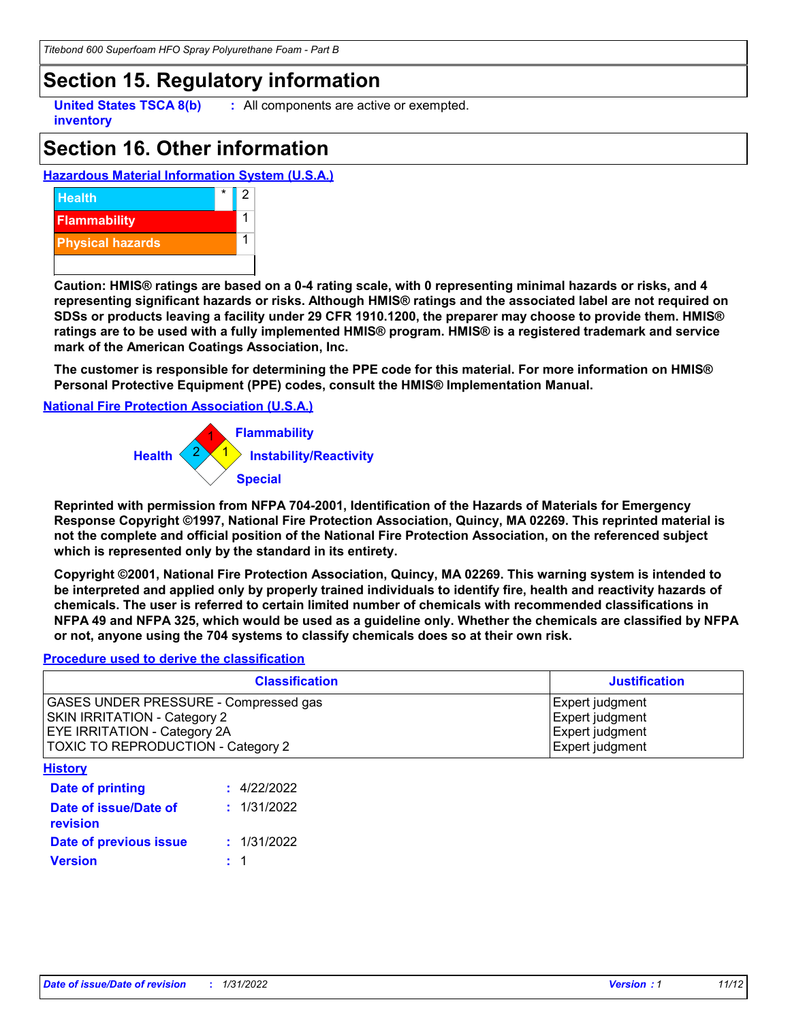*Titebond 600 Superfoam HFO Spray Polyurethane Foam - Part B*

### **Section 15. Regulatory information**

**United States TSCA 8(b) inventory**

**:** All components are active or exempted.

# **Section 16. Other information**

**Hazardous Material Information System (U.S.A.)**



**Caution: HMIS® ratings are based on a 0-4 rating scale, with 0 representing minimal hazards or risks, and 4 representing significant hazards or risks. Although HMIS® ratings and the associated label are not required on SDSs or products leaving a facility under 29 CFR 1910.1200, the preparer may choose to provide them. HMIS® ratings are to be used with a fully implemented HMIS® program. HMIS® is a registered trademark and service mark of the American Coatings Association, Inc.**

**The customer is responsible for determining the PPE code for this material. For more information on HMIS® Personal Protective Equipment (PPE) codes, consult the HMIS® Implementation Manual.**

#### **National Fire Protection Association (U.S.A.)**



**Reprinted with permission from NFPA 704-2001, Identification of the Hazards of Materials for Emergency Response Copyright ©1997, National Fire Protection Association, Quincy, MA 02269. This reprinted material is not the complete and official position of the National Fire Protection Association, on the referenced subject which is represented only by the standard in its entirety.**

**Copyright ©2001, National Fire Protection Association, Quincy, MA 02269. This warning system is intended to be interpreted and applied only by properly trained individuals to identify fire, health and reactivity hazards of chemicals. The user is referred to certain limited number of chemicals with recommended classifications in NFPA 49 and NFPA 325, which would be used as a guideline only. Whether the chemicals are classified by NFPA or not, anyone using the 704 systems to classify chemicals does so at their own risk.**

#### **Procedure used to derive the classification**

| <b>Classification</b>                                                                                                                                     |             | <b>Justification</b>                                                     |
|-----------------------------------------------------------------------------------------------------------------------------------------------------------|-------------|--------------------------------------------------------------------------|
| GASES UNDER PRESSURE - Compressed gas<br><b>SKIN IRRITATION - Category 2</b><br><b>EYE IRRITATION - Category 2A</b><br>TOXIC TO REPRODUCTION - Category 2 |             | Expert judgment<br>Expert judgment<br>Expert judgment<br>Expert judgment |
| <b>History</b>                                                                                                                                            |             |                                                                          |
| Date of printing                                                                                                                                          | : 4/22/2022 |                                                                          |
| Date of issue/Date of<br>revision                                                                                                                         | : 1/31/2022 |                                                                          |
| Date of previous issue                                                                                                                                    | : 1/31/2022 |                                                                          |
| <b>Version</b>                                                                                                                                            |             |                                                                          |